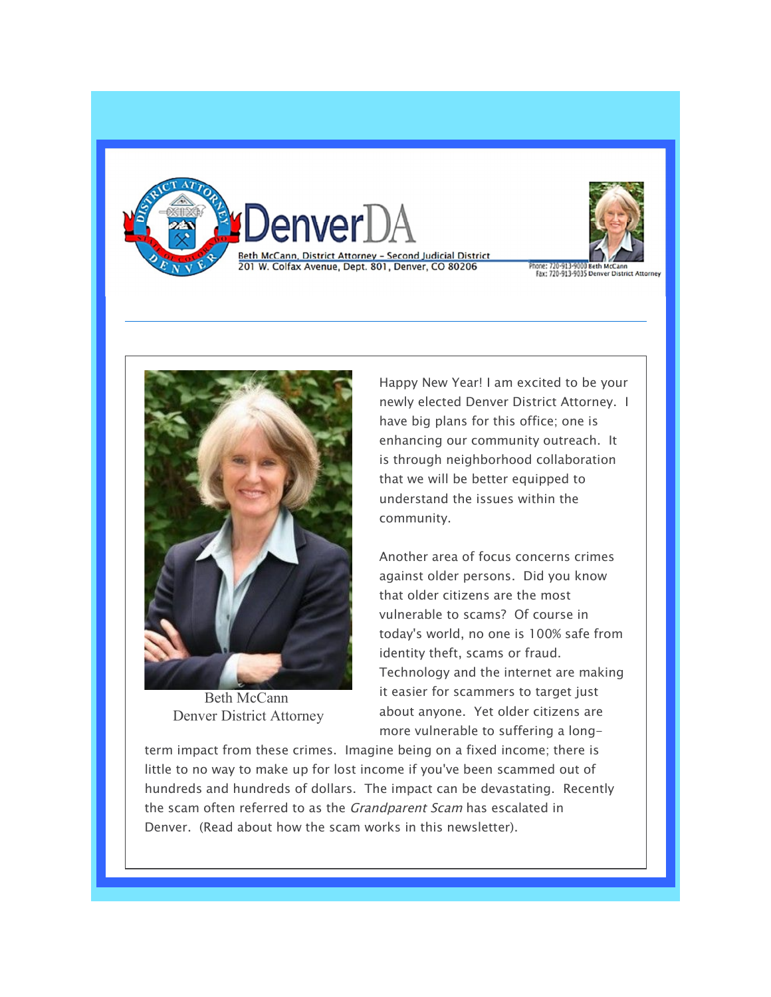



hone: 720-913-9000 Beth McCann<br>Fax: 720-913-9035 Denver District Attorney



Beth McCann Denver District Attorney

Happy New Year! I am excited to be your newly elected Denver District Attorney. I have big plans for this office; one is enhancing our community outreach. It is through neighborhood collaboration that we will be better equipped to understand the issues within the community.

Another area of focus concerns crimes against older persons. Did you know that older citizens are the most vulnerable to scams? Of course in today's world, no one is 100% safe from identity theft, scams or fraud. Technology and the internet are making it easier for scammers to target just about anyone. Yet older citizens are more vulnerable to suffering a long-

term impact from these crimes. Imagine being on a fixed income; there is little to no way to make up for lost income if you've been scammed out of hundreds and hundreds of dollars. The impact can be devastating. Recently the scam often referred to as the *Grandparent Scam* has escalated in Denver. (Read about how the scam works in this newsletter).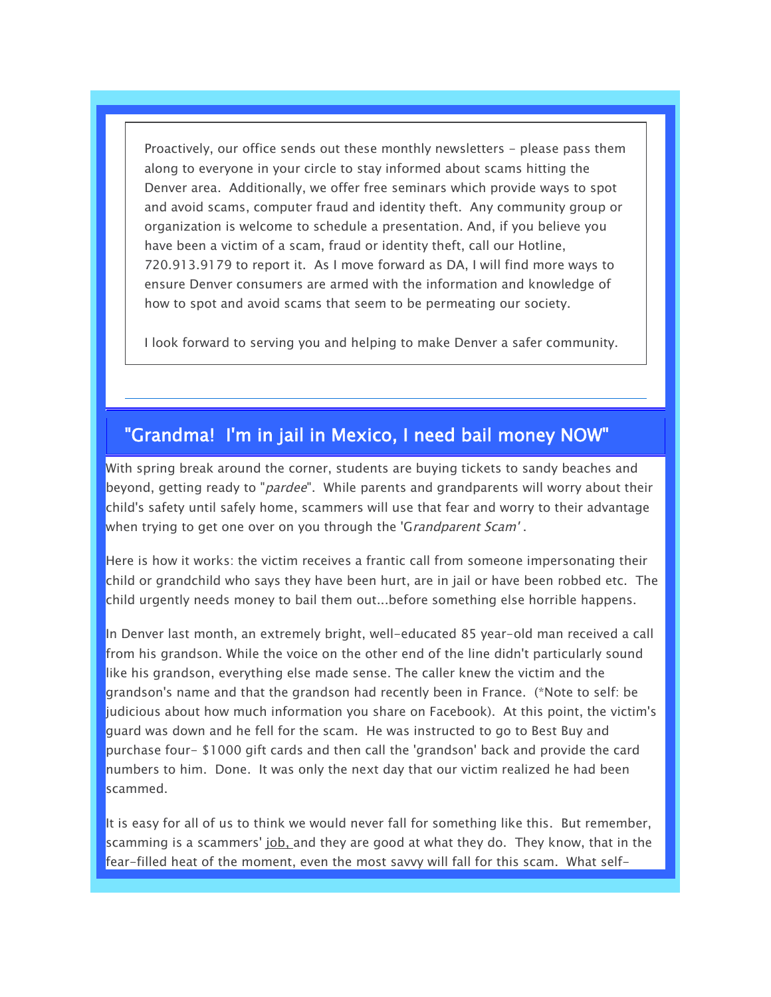Proactively, our office sends out these monthly newsletters - please pass them along to everyone in your circle to stay informed about scams hitting the Denver area. Additionally, we offer free seminars which provide ways to spot and avoid scams, computer fraud and identity theft. Any community group or organization is welcome to schedule a presentation. And, if you believe you have been a victim of a scam, fraud or identity theft, call our Hotline, 720.913.9179 to report it. As I move forward as DA, I will find more ways to ensure Denver consumers are armed with the information and knowledge of how to spot and avoid scams that seem to be permeating our society.

I look forward to serving you and helping to make Denver a safer community.

## "Grandma! I'm in jail in Mexico, I need bail money NOW"

With spring break around the corner, students are buying tickets to sandy beaches and beyond, getting ready to "*pardee*". While parents and grandparents will worry about their child's safety until safely home, scammers will use that fear and worry to their advantage when trying to get one over on you through the 'Grandparent Scam'.

Here is how it works: the victim receives a frantic call from someone impersonating their child or grandchild who says they have been hurt, are in jail or have been robbed etc. The child urgently needs money to bail them out...before something else horrible happens.

In Denver last month, an extremely bright, well-educated 85 year-old man received a call from his grandson. While the voice on the other end of the line didn't particularly sound like his grandson, everything else made sense. The caller knew the victim and the grandson's name and that the grandson had recently been in France. (\*Note to self: be judicious about how much information you share on Facebook). At this point, the victim's guard was down and he fell for the scam. He was instructed to go to Best Buy and purchase four- \$1000 gift cards and then call the 'grandson' back and provide the card numbers to him. Done. It was only the next day that our victim realized he had been scammed.

It is easy for all of us to think we would never fall for something like this. But remember, scamming is a scammers' job, and they are good at what they do. They know, that in the fear-filled heat of the moment, even the most savvy will fall for this scam. What self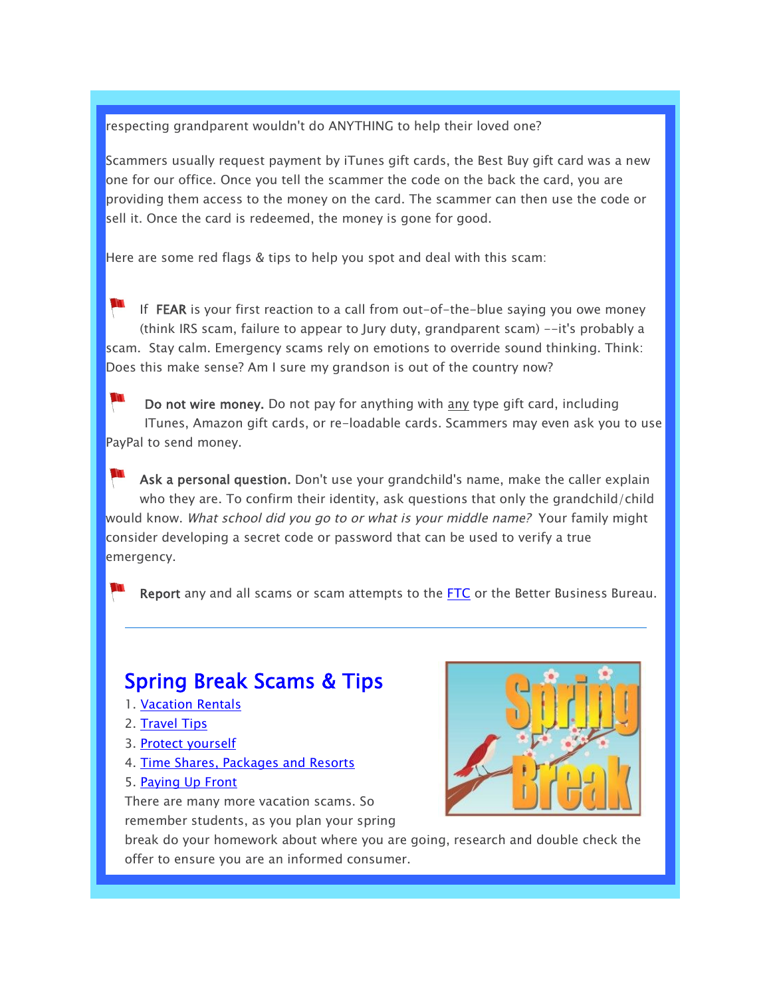respecting grandparent wouldn't do ANYTHING to help their loved one?

Scammers usually request payment by iTunes gift cards, the Best Buy gift card was a new one for our office. Once you tell the scammer the code on the back the card, you are providing them access to the money on the card. The scammer can then use the code or sell it. Once the card is redeemed, the money is gone for good.

Here are some red flags & tips to help you spot and deal with this scam:

If FEAR is your first reaction to a call from out-of-the-blue saying you owe money (think IRS scam, failure to appear to Jury duty, grandparent scam) --it's probably a scam. Stay calm. Emergency scams rely on emotions to override sound thinking. Think: Does this make sense? Am I sure my grandson is out of the country now?

Do not wire money. Do not pay for anything with any type gift card, including ITunes, Amazon gift cards, or re-loadable cards. Scammers may even ask you to use PayPal to send money.

Ask a personal question. Don't use your grandchild's name, make the caller explain who they are. To confirm their identity, ask questions that only the grandchild/child would know. What school did you go to or what is your middle name? Your family might consider developing a secret code or password that can be used to verify a true emergency.

Report any and all scams or scam attempts to the FTC or the Better Business Bureau.

## Spring Break Scams & Tips

- 1. Vacation Rentals
- 2. Travel Tips
- 3. Protect yourself
- 4. Time Shares, Packages and Resorts
- 5. Paying Up Front

There are many more vacation scams. So

remember students, as you plan your spring



break do your homework about where you are going, research and double check the offer to ensure you are an informed consumer.